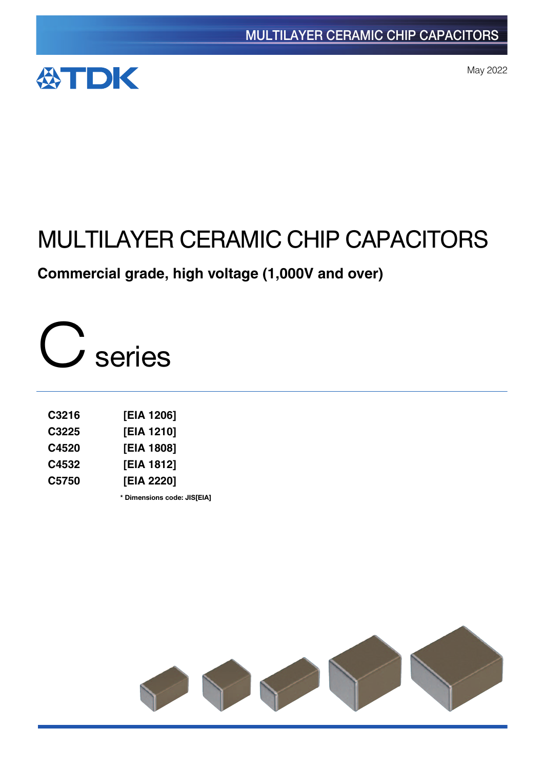

May 2022

# MULTILAYER CERAMIC CHIP CAPACITORS

**Commercial grade, high voltage (1,000V and over)**

C series

| C3216 | [EIA 1206] |
|-------|------------|
| C3225 | [EIA 1210] |
| C4520 | [EIA 1808] |
| C4532 | [EIA 1812] |
| C5750 | [EIA 2220] |

**\*** Dimensions code: JIS[EIA]

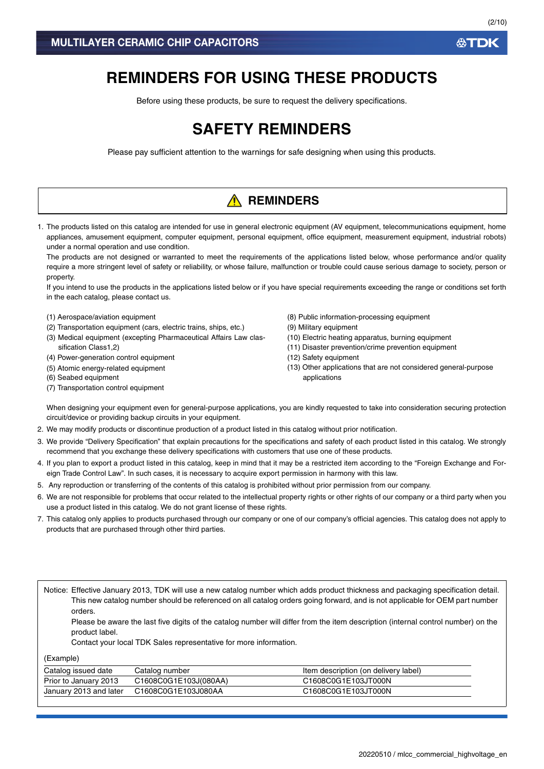## **REMINDERS FOR USING THESE PRODUCTS**

Before using these products, be sure to request the delivery specifications.

## **SAFETY REMINDERS**

Please pay sufficient attention to the warnings for safe designing when using this products.

## **A** REMINDERS

1. The products listed on this catalog are intended for use in general electronic equipment (AV equipment, telecommunications equipment, home appliances, amusement equipment, computer equipment, personal equipment, office equipment, measurement equipment, industrial robots) under a normal operation and use condition.

The products are not designed or warranted to meet the requirements of the applications listed below, whose performance and/or quality require a more stringent level of safety or reliability, or whose failure, malfunction or trouble could cause serious damage to society, person or property.

If you intend to use the products in the applications listed below or if you have special requirements exceeding the range or conditions set forth in the each catalog, please contact us.

- (1) Aerospace/aviation equipment
- (2) Transportation equipment (cars, electric trains, ships, etc.)
- (3) Medical equipment (excepting Pharmaceutical Affairs Law classification Class1,2)
- (4) Power-generation control equipment
- (5) Atomic energy-related equipment
- (6) Seabed equipment
- (7) Transportation control equipment
- (8) Public information-processing equipment
- (9) Military equipment
- (10) Electric heating apparatus, burning equipment
- (11) Disaster prevention/crime prevention equipment
- (12) Safety equipment
- (13) Other applications that are not considered general-purpose applications

When designing your equipment even for general-purpose applications, you are kindly requested to take into consideration securing protection circuit/device or providing backup circuits in your equipment.

- 2. We may modify products or discontinue production of a product listed in this catalog without prior notification.
- 3. We provide "Delivery Specification" that explain precautions for the specifications and safety of each product listed in this catalog. We strongly recommend that you exchange these delivery specifications with customers that use one of these products.
- 4. If you plan to export a product listed in this catalog, keep in mind that it may be a restricted item according to the "Foreign Exchange and Foreign Trade Control Law". In such cases, it is necessary to acquire export permission in harmony with this law.
- 5. Any reproduction or transferring of the contents of this catalog is prohibited without prior permission from our company.
- 6. We are not responsible for problems that occur related to the intellectual property rights or other rights of our company or a third party when you use a product listed in this catalog. We do not grant license of these rights.
- 7. This catalog only applies to products purchased through our company or one of our company's official agencies. This catalog does not apply to products that are purchased through other third parties.

Notice: Effective January 2013, TDK will use a new catalog number which adds product thickness and packaging specification detail. This new catalog number should be referenced on all catalog orders going forward, and is not applicable for OEM part number orders.

Please be aware the last five digits of the catalog number will differ from the item description (internal control number) on the product label.

Contact your local TDK Sales representative for more information.

(Example)

| Catalog issued date    | Catalog number        | Item description (on delivery label) |
|------------------------|-----------------------|--------------------------------------|
| Prior to January 2013  | C1608C0G1E103J(080AA) | C1608C0G1E103JT000N                  |
| January 2013 and later | C1608C0G1E103J080AA   | C1608C0G1E103JT000N                  |

**ATDK**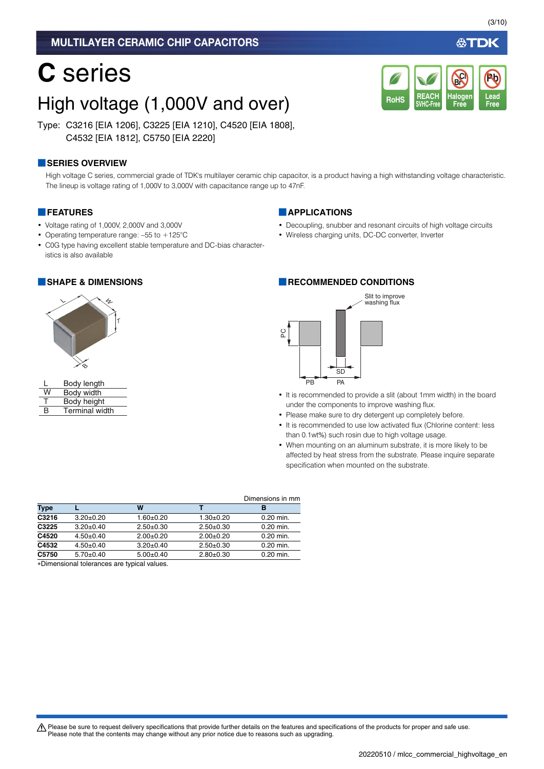### MULTILAYER CERAMIC CHIP CAPACITORS

# **C** series

## High voltage (1,000V and over)

Type: C3216 [EIA 1206], C3225 [EIA 1210], C4520 [EIA 1808], C4532 [EIA 1812], C5750 [EIA 2220]

### **■SERIES OVERVIEW**

High voltage C series, commercial grade of TDK's multilayer ceramic chip capacitor, is a product having a high withstanding voltage characteristic. The lineup is voltage rating of 1,000V to 3,000V with capacitance range up to 47nF.

#### **■FEATURES**

- Voltage rating of 1,000V, 2,000V and 3,000V
- Operating temperature range: –55 to +125°C
- C0G type having excellent stable temperature and DC-bias characteristics is also available



|   | Body length           |
|---|-----------------------|
| W | Body width            |
| т | Body height           |
| R | <b>Terminal width</b> |

#### **■APPLICATIONS**

• Decoupling, snubber and resonant circuits of high voltage circuits

**REACH SVHC-Free**

RoHS SVHC-Free Free Free

**Halogen Free**

**Br Cl**

• Wireless charging units, DC-DC converter, Inverter

#### **■SHAPE & DIMENSIONS ■RECOMMENDED CONDITIONS**



- It is recommended to provide a slit (about 1mm width) in the board under the components to improve washing flux.
- Please make sure to dry detergent up completely before.
- It is recommended to use low activated flux (Chlorine content: less than 0.1wt%) such rosin due to high voltage usage.
- When mounting on an aluminum substrate, it is more likely to be affected by heat stress from the substrate. Please inquire separate specification when mounted on the substrate.

|             |                 |                 |             | Dimensions in mm |
|-------------|-----------------|-----------------|-------------|------------------|
| <b>Type</b> |                 | W               |             | в                |
| C3216       | $3.20 \pm 0.20$ | $1.60 + 0.20$   | $1.30+0.20$ | $0.20$ min.      |
| C3225       | $3.20 \pm 0.40$ | $2.50+0.30$     | $2.50+0.30$ | $0.20$ min.      |
| C4520       | $4.50+0.40$     | $2.00+0.20$     | $2.00+0.20$ | $0.20$ min.      |
| C4532       | $4.50+0.40$     | $3.20 \pm 0.40$ | $2.50+0.30$ | $0.20$ min.      |
| C5750       | $5.70+0.40$     | $5.00+0.40$     | $2.80+0.30$ | $0.20$ min.      |

Dimensional tolerances are typical values.

A Please be sure to request delivery specifications that provide further details on the features and specifications of the products for proper and safe use. Please note that the contents may change without any prior notice due to reasons such as upgrading.

**Lead**

**Pb**

公TDK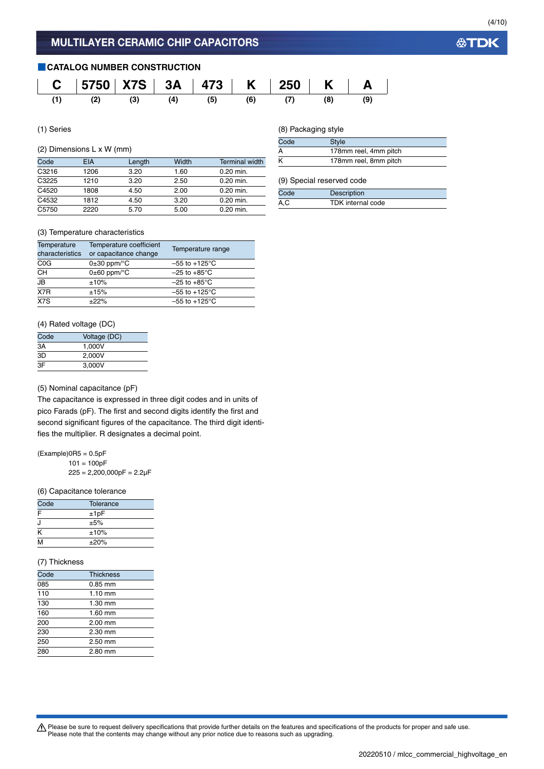**公TDK** 

### **■CATALOG NUMBER CONSTRUCTION**



(1) Series

### (2) Dimensions L x W (mm)

| Code  | <b>EIA</b> | Length | Width | <b>Terminal width</b> |
|-------|------------|--------|-------|-----------------------|
| C3216 | 1206       | 3.20   | 1.60  | 0.20 min.             |
| C3225 | 1210       | 3.20   | 2.50  | 0.20 min.             |
| C4520 | 1808       | 4.50   | 2.00  | 0.20 min.             |
| C4532 | 1812       | 4.50   | 3.20  | 0.20 min.             |
| C5750 | 2220       | 5.70   | 5.00  | $0.20$ min.           |

### (8) Packaging style

| Code | <b>Style</b>          |
|------|-----------------------|
|      | 178mm reel, 4mm pitch |
|      | 178mm reel, 8mm pitch |

#### (9) Special reserved code

| Code | Description       |
|------|-------------------|
| A, C | TDK internal code |

#### (3) Temperature characteristics

| Temperature<br>characteristics | Temperature coefficient<br>or capacitance change | Temperature range         |
|--------------------------------|--------------------------------------------------|---------------------------|
| C <sub>0</sub> G               | $0\pm 30$ ppm/ $\degree$ C                       | $-55$ to $+125^{\circ}$ C |
| <b>CH</b>                      | $0\pm 60$ ppm/ $\degree$ C                       | $-25$ to $+85^{\circ}$ C  |
| JB                             | ±10%                                             | $-25$ to $+85^{\circ}$ C  |
| X7R                            | ±15%                                             | $-55$ to $+125^{\circ}$ C |
| X7S                            | ±22%                                             | $-55$ to +125°C           |

### (4) Rated voltage (DC)

| Code | Voltage (DC) |
|------|--------------|
| 3A   | 1.000V       |
| ЗD   | 2.000V       |
| ЗF   | 3,000V       |

#### (5) Nominal capacitance (pF)

The capacitance is expressed in three digit codes and in units of pico Farads (pF). The first and second digits identify the first and second significant figures of the capacitance. The third digit identifies the multiplier. R designates a decimal point.

 $(Example)$ OR5 = 0.5pF  $101 = 100pF$  $225 = 2,200,000pF = 2.2\mu F$ 

#### (6) Capacitance tolerance

| Code | Tolerance |  |
|------|-----------|--|
| F    | ±1pF      |  |
| J    | ±5%       |  |
| Κ    | ±10%      |  |
| M    | ±20%      |  |

#### (7) Thickness

| Code | <b>Thickness</b>  |  |
|------|-------------------|--|
| 085  | $0.85$ mm         |  |
| 110  | $1.10 \text{ mm}$ |  |
| 130  | $1.30$ mm         |  |
| 160  | 1.60 mm           |  |
| 200  | 2.00 mm           |  |
| 230  | 2.30 mm           |  |
| 250  | $2.50$ mm         |  |
| 280  | 2.80 mm           |  |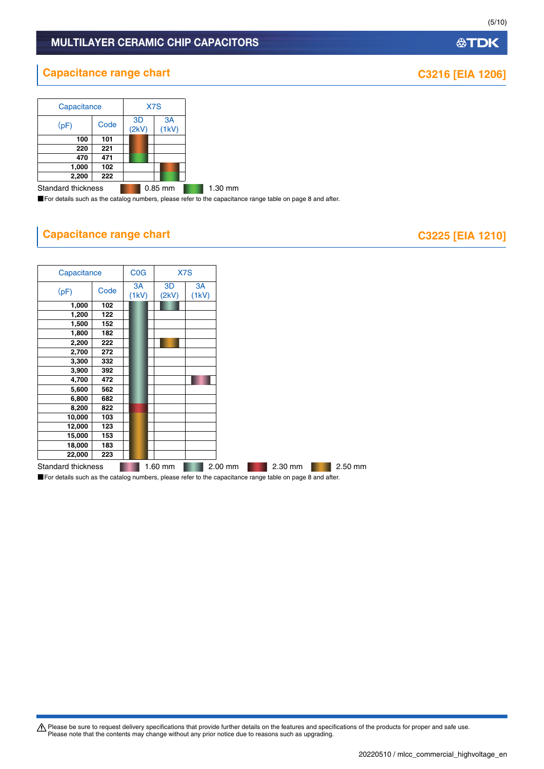## **公TDK**

## MULTILAYER CERAMIC CHIP CAPACITORS

## **Capacitance range chart Capacitance range chart C3216 [EIA 1206]**

| Capacitance        |      | X7S                                    |         |
|--------------------|------|----------------------------------------|---------|
| (pF)               | Code | 3 <sub>D</sub><br>3A<br>(2kV)<br>(1kV) |         |
| 100                | 101  |                                        |         |
| 220                | 221  |                                        |         |
| 470                | 471  |                                        |         |
| 1,000              | 102  |                                        |         |
| 2,200              | 222  |                                        |         |
| Ctondord thioknoon |      |                                        | 0.05 mm |

Standard thickness **1.2008** 0.85 mm 1.30 mm ■For details such as the catalog numbers, please refer to the capacitance range table on page 8 and after.

## **Capacitance range chart Capacitance range chart C3225** [EIA 1210]



■For details such as the catalog numbers, please refer to the capacitance range table on page 8 and after.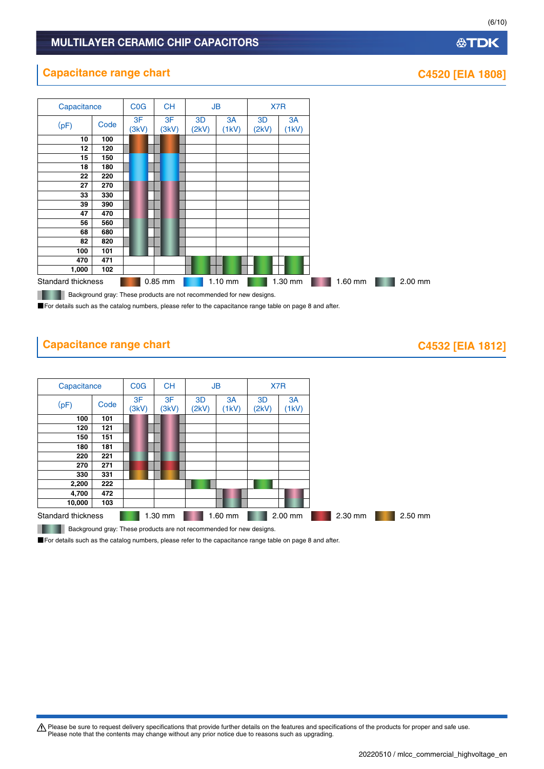## MULTILAYER CERAMIC CHIP CAPACITORS

## **Capacitance range chart CASS CASS CASS CASS CASS CASS CASS CASS CASS CASS CASS CASS CASS CASS CASS CASS CASS CASS CASS CASS CASS CASS CASS CASS CASS CASS CASS CASS**



## **Capacitance range chart CA532 [EIA 1812]**

| Capacitance        |      | <b>C<sub>O</sub></b> G | <b>CH</b>   | JB          |             |             | X7R         |
|--------------------|------|------------------------|-------------|-------------|-------------|-------------|-------------|
| (pF)               | Code | 3F<br>(3kV)            | 3F<br>(3kV) | 3D<br>(2kV) | 3A<br>(1kV) | 3D<br>(2kV) | 3A<br>(1kV) |
| 100                | 101  |                        |             |             |             |             |             |
| 120                | 121  |                        |             |             |             |             |             |
| 150                | 151  |                        |             |             |             |             |             |
| 180                | 181  |                        |             |             |             |             |             |
| 220                | 221  |                        |             |             |             |             |             |
| 270                | 271  |                        |             |             |             |             |             |
| 330                | 331  |                        |             |             |             |             |             |
| 2,200              | 222  |                        |             |             |             |             |             |
| 4,700              | 472  |                        |             |             |             |             |             |
| 10,000             | 103  |                        |             |             |             |             |             |
| Standard thickness |      |                        | 1.30 mm     |             | 1.60 mm     |             | 2.00 mm     |

**Background gray: These products are not recommended for new designs.** 

■For details such as the catalog numbers, please refer to the capacitance range table on page 8 and after.

Please be sure to request delivery specifications that provide further details on the features and specifications of the products for proper and safe use.<br>Please note that the contents may change without any prior notice d

(6/10)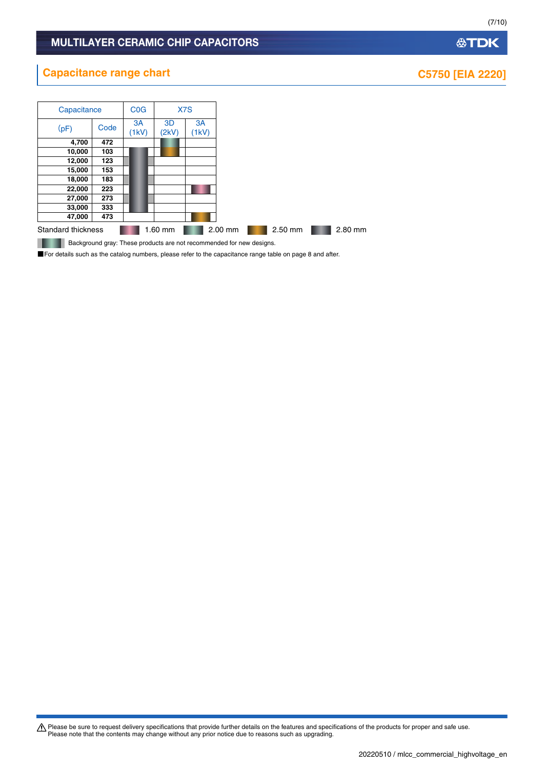Please be sure to request delivery specifications that provide further details on the features and specifications of the products for proper and safe use.<br>Please note that the contents may change without any prior notice d

## **Capacitance range chart C5750** [EIA 2220]

| Capacitance |                    | <b>C<sub>O</sub></b> G | X7S         |             |         |  |         |
|-------------|--------------------|------------------------|-------------|-------------|---------|--|---------|
| (pF)        | Code               | 3A<br>(1kV)            | 3D<br>(2kV) | 3A<br>(1kV) |         |  |         |
| 4,700       | 472                |                        |             |             |         |  |         |
| 10,000      | 103                |                        |             |             |         |  |         |
| 12,000      | 123                |                        |             |             |         |  |         |
| 15,000      | 153                |                        |             |             |         |  |         |
| 18,000      | 183                |                        |             |             |         |  |         |
| 22,000      | 223                |                        |             |             |         |  |         |
| 27,000      | 273                |                        |             |             |         |  |         |
| 33,000      | 333                |                        |             |             |         |  |         |
| 47,000      | 473                |                        |             |             |         |  |         |
|             | Standard thickness |                        | $1.60$ mm   |             | 2.00 mm |  | 2.50 mm |

**Background gray: These products are not recommended for new designs.** 

■For details such as the catalog numbers, please refer to the capacitance range table on page 8 and after.

## **公TDK**

(7/10)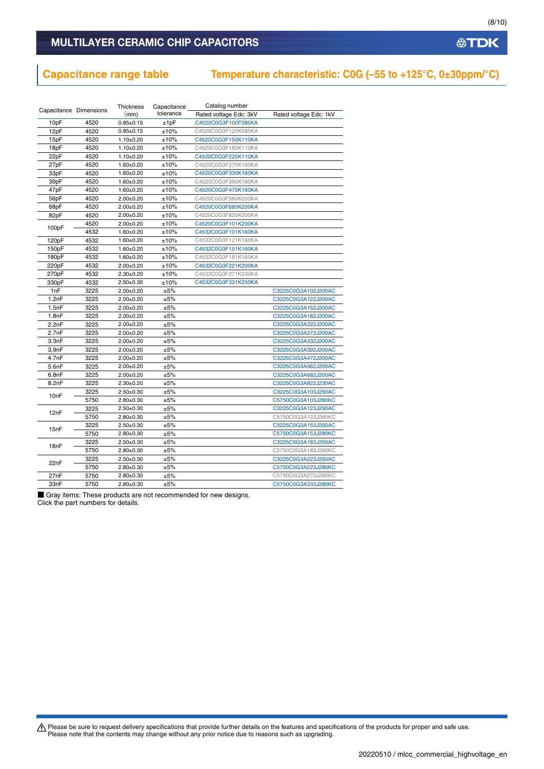## **Capacitance range table Temperature characteristic: C0G (–55 to +125°C, 0±30ppm/°C)**

| Capacitance Dimensions |      | Thickness       | Capacitance | Catalog number         |                        |
|------------------------|------|-----------------|-------------|------------------------|------------------------|
|                        |      | (mm)            | tolerance   | Rated voltage Edc: 3kV | Rated voltage Edc: 1kV |
| 10pF                   | 4520 | $0.85 + 0.15$   | ±1pF        | C4520C0G3F100F085KA    |                        |
| 12pF                   | 4520 | $0.85 \pm 0.15$ | ±10%        | C4520C0G3F120K085KA    |                        |
| 15pF                   | 4520 | $1.10+0.20$     | ±10%        | C4520C0G3F150K110KA    |                        |
| 18pF                   | 4520 | $1.10+0.20$     | ±10%        | C4520C0G3F180K110KA    |                        |
| 22pF                   | 4520 | $1.10+0.20$     | ±10%        | C4520C0G3F220K110KA    |                        |
| 27pF                   | 4520 | $1.60 + 0.20$   | ±10%        | C4520C0G3F270K160KA    |                        |
| 33pF                   | 4520 | $1.60 + 0.20$   | ±10%        | C4520C0G3F330K160KA    |                        |
| 39pF                   | 4520 | $1.60 + 0.20$   | ±10%        | C4520C0G3F390K160KA    |                        |
| 47pF                   | 4520 | $1.60 + 0.20$   | ±10%        | C4520C0G3F470K160KA    |                        |
| 56pF                   | 4520 | $2.00 \pm 0.20$ | ±10%        | C4520C0G3F560K200KA    |                        |
| 68pF                   | 4520 | $2.00 \pm 0.20$ | ±10%        | C4520C0G3F680K200KA    |                        |
| 82pF                   | 4520 | $2.00+0.20$     | ±10%        | C4520C0G3F820K200KA    |                        |
| 100pF                  | 4520 | $2.00 \pm 0.20$ | ±10%        | C4520C0G3F101K200KA    |                        |
|                        | 4532 | $1.60 + 0.20$   | ±10%        | C4532C0G3F101K160KA    |                        |
| 120pF                  | 4532 | $1.60 \pm 0.20$ | ±10%        | C4532C0G3F121K160KA    |                        |
| 150pF                  | 4532 | $1.60 + 0.20$   | ±10%        | C4532C0G3F151K160KA    |                        |
| 180pF                  | 4532 | $1.60 + 0.20$   | ±10%        | C4532C0G3F181K160KA    |                        |
| 220pF                  | 4532 | $2.00+0.20$     | ±10%        | C4532C0G3F221K200KA    |                        |
| 270pF                  | 4532 | $2.30 + 0.20$   | ±10%        | C4532C0G3F271K230KA    |                        |
| 330pF                  | 4532 | $2.50 + 0.30$   | ±10%        | C4532C0G3F331K250KA    |                        |
| 1nF                    | 3225 | $2.00+0.20$     | ±5%         |                        | C3225C0G3A102J200AC    |
| 1.2nF                  | 3225 | $2.00+0.20$     | ±5%         |                        | C3225C0G3A122J200AC    |
| 1.5nF                  | 3225 | $2.00 \pm 0.20$ | ±5%         |                        | C3225C0G3A152J200AC    |
| 1.8nF                  | 3225 | $2.00 \pm 0.20$ | ±5%         |                        | C3225C0G3A182J200AC    |
| 2.2nF                  | 3225 | $2.00+0.20$     | ±5%         |                        | C3225C0G3A222J200AC    |
| 2.7nF                  | 3225 | $2.00+0.20$     | ±5%         |                        | C3225C0G3A272J200AC    |
| 3.3nF                  | 3225 | $2.00 \pm 0.20$ | ±5%         |                        | C3225C0G3A332J200AC    |
| 3.9nF                  | 3225 | $2.00+0.20$     | ±5%         |                        | C3225C0G3A392J200AC    |
| 4.7nF                  | 3225 | $2.00 \pm 0.20$ | ±5%         |                        | C3225C0G3A472J200AC    |
| 5.6nF                  | 3225 | $2.00+0.20$     | ±5%         |                        | C3225C0G3A562J200AC    |
| 6.8nF                  | 3225 | $2.00 \pm 0.20$ | ±5%         |                        | C3225C0G3A682J200AC    |
| 8.2nF                  | 3225 | $2.30 + 0.20$   | ±5%         |                        | C3225C0G3A822J230AC    |
| 10nF                   | 3225 | $2.50+0.30$     | ±5%         |                        | C3225C0G3A103J250AC    |
|                        | 5750 | $2.80 + 0.30$   | ±5%         |                        | C5750C0G3A103J280KC    |
| 12nF                   | 3225 | $2.50 + 0.30$   | ±5%         |                        | C3225C0G3A123J250AC    |
|                        | 5750 | $2.80 + 0.30$   | ±5%         |                        | C5750C0G3A123J280KC    |
|                        | 3225 | $2.50 + 0.30$   | ±5%         |                        | C3225C0G3A153J250AC    |
| 15nF                   | 5750 | $2.80 + 0.30$   | ±5%         |                        | C5750C0G3A153J280KC    |
| 18nF                   | 3225 | $2.50 \pm 0.30$ | ±5%         |                        | C3225C0G3A183J250AC    |
|                        | 5750 | $2.80 \pm 0.30$ | ±5%         |                        | C5750C0G3A183J280KC    |
|                        | 3225 | $2.50+0.30$     | ±5%         |                        | C3225C0G3A223J250AC    |
| 22nF                   | 5750 | $2.80 \pm 0.30$ | ±5%         |                        | C5750C0G3A223J280KC    |
| 27nF                   | 5750 | $2.80 + 0.30$   | ±5%         |                        | C5750C0G3A273J280KC    |
| 33nF                   | 5750 | $2.80 + 0.30$   | ±5%         |                        | C5750C0G3A333J280KC    |

■ Gray items: These products are not recommended for new designs.

Click the part numbers for details.

(8/10)

**公TDK**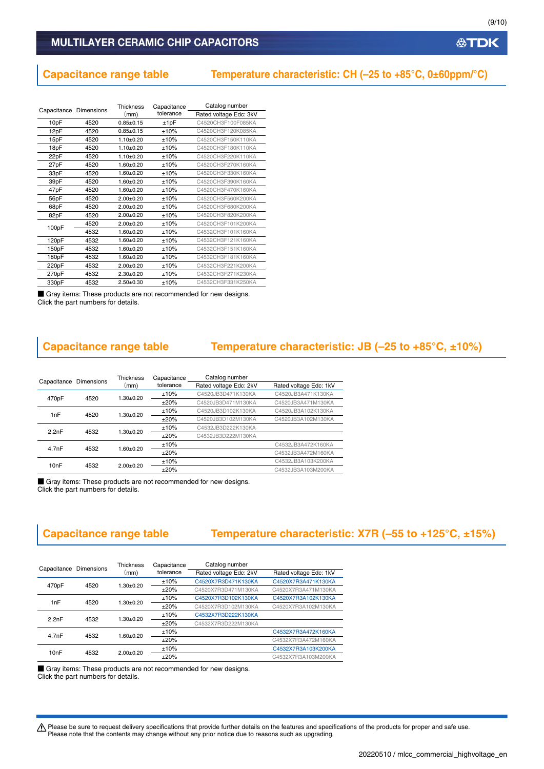**公TDK** 

### MULTILAYER CERAMIC CHIP CAPACITORS

## **Capacitance range table Temperature characteristic: CH (–25 to +85°C, 0±60ppm/°C)**

| Capacitance Dimensions |      | <b>Thickness</b> | Capacitance | Catalog number         |
|------------------------|------|------------------|-------------|------------------------|
|                        |      | (mm)             | tolerance   | Rated voltage Edc: 3kV |
| 10pF                   | 4520 | $0.85 + 0.15$    | ±1pF        | C4520CH3F100F085KA     |
| 12pF                   | 4520 | $0.85 + 0.15$    | ±10%        | C4520CH3F120K085KA     |
| 15pF                   | 4520 | $1.10 + 0.20$    | ±10%        | C4520CH3F150K110KA     |
| 18pF                   | 4520 | $1.10 + 0.20$    | ±10%        | C4520CH3F180K110KA     |
| 22pF                   | 4520 | $1.10 + 0.20$    | ±10%        | C4520CH3F220K110KA     |
| 27pF                   | 4520 | $1.60 + 0.20$    | ±10%        | C4520CH3F270K160KA     |
| 33pF                   | 4520 | $1.60 + 0.20$    | ±10%        | C4520CH3F330K160KA     |
| 39pF                   | 4520 | $1.60 + 0.20$    | ±10%        | C4520CH3F390K160KA     |
| 47pF                   | 4520 | $1.60 + 0.20$    | ±10%        | C4520CH3F470K160KA     |
| 56pF                   | 4520 | $2.00 + 0.20$    | ±10%        | C4520CH3F560K200KA     |
| 68pF                   | 4520 | $2.00+0.20$      | ±10%        | C4520CH3F680K200KA     |
| 82pF                   | 4520 | $2.00 + 0.20$    | ±10%        | C4520CH3F820K200KA     |
| 100pF                  | 4520 | $2.00+0.20$      | ±10%        | C4520CH3F101K200KA     |
|                        | 4532 | $1.60 + 0.20$    | ±10%        | C4532CH3F101K160KA     |
| 120pF                  | 4532 | $1.60 + 0.20$    | ±10%        | C4532CH3F121K160KA     |
| 150pF                  | 4532 | $1.60 + 0.20$    | ±10%        | C4532CH3F151K160KA     |
| 180pF                  | 4532 | $1.60 + 0.20$    | ±10%        | C4532CH3F181K160KA     |
| 220pF                  | 4532 | $2.00 \pm 0.20$  | ±10%        | C4532CH3F221K200KA     |
| 270pF                  | 4532 | $2.30+0.20$      | ±10%        | C4532CH3F271K230KA     |
| 330pF                  | 4532 | $2.50 + 0.30$    | ±10%        | C4532CH3F331K250KA     |
|                        |      |                  |             |                        |

■ Gray items: These products are not recommended for new designs. Click the part numbers for details.

## **Capacitance range table Temperature characteristic: JB (–25 to +85°C, ±10%)**

| Capacitance                | Dimensions | <b>Thickness</b><br>(mm) | Capacitance        | Catalog number         |                        |
|----------------------------|------------|--------------------------|--------------------|------------------------|------------------------|
|                            |            |                          | tolerance          | Rated voltage Edc: 2kV | Rated voltage Edc: 1kV |
| 470 <sub>p</sub> F<br>4520 |            | $1.30 + 0.20$            | ±10%               | C4520JB3D471K130KA     | C4520JB3A471K130KA     |
|                            |            | $+20%$                   | C4520JB3D471M130KA | C4520JB3A471M130KA     |                        |
| 1nF                        | 4520       | $1.30+0.20$              | ±10%               | C4520JB3D102K130KA     | C4520JB3A102K130KA     |
|                            |            |                          | ±20%               | C4520JB3D102M130KA     | C4520JB3A102M130KA     |
| 2.2nF                      | 4532       | $1.30 + 0.20$            | ±10%               | C4532JB3D222K130KA     |                        |
|                            |            |                          | $+20%$             | C4532JB3D222M130KA     |                        |
| 4.7nF                      | 4532       | $1.60 + 0.20$            | ±10%               |                        | C4532JB3A472K160KA     |
|                            |            |                          | $+20%$             |                        | C4532JB3A472M160KA     |
| 10 <sub>n</sub> F          | 4532       | $2.00+0.20$              | ±10%               |                        | C4532JB3A103K200KA     |
|                            |            |                          | $+20%$             |                        | C4532JB3A103M200KA     |

■ Gray items: These products are not recommended for new designs. Click the part numbers for details.

## **Capacitance range table Temperature characteristic: X7R (–55 to +125°C, ±15%)**

| Capacitance Dimensions |      | <b>Thickness</b><br>(mm) | Capacitance<br>tolerance | Catalog number         |                        |
|------------------------|------|--------------------------|--------------------------|------------------------|------------------------|
|                        |      |                          |                          | Rated voltage Edc: 2kV | Rated voltage Edc: 1kV |
| 470pF<br>4520          |      | $1.30 + 0.20$            | ±10%                     | C4520X7R3D471K130KA    | C4520X7R3A471K130KA    |
|                        |      |                          | $+20%$                   | C4520X7R3D471M130KA    | C4520X7R3A471M130KA    |
| 1nF<br>4520            |      | $1.30 + 0.20$            | ±10%                     | C4520X7R3D102K130KA    | C4520X7R3A102K130KA    |
|                        |      |                          | $+20%$                   | C4520X7R3D102M130KA    | C4520X7R3A102M130KA    |
| 2.2nF<br>4532          |      | $1.30 + 0.20$            | ±10%                     | C4532X7R3D222K130KA    |                        |
|                        |      |                          | $+20%$                   | C4532X7R3D222M130KA    |                        |
| 4.7nF                  | 4532 | $1.60 + 0.20$            | ±10%                     |                        | C4532X7R3A472K160KA    |
|                        |      |                          | $+20%$                   |                        | C4532X7R3A472M160KA    |
| 10 <sub>n</sub> F      | 4532 | $2.00+0.20$              | ±10%                     |                        | C4532X7R3A103K200KA    |
|                        |      |                          | ±20%                     |                        | C4532X7R3A103M200KA    |

■ Gray items: These products are not recommended for new designs.

Click the part numbers for details.